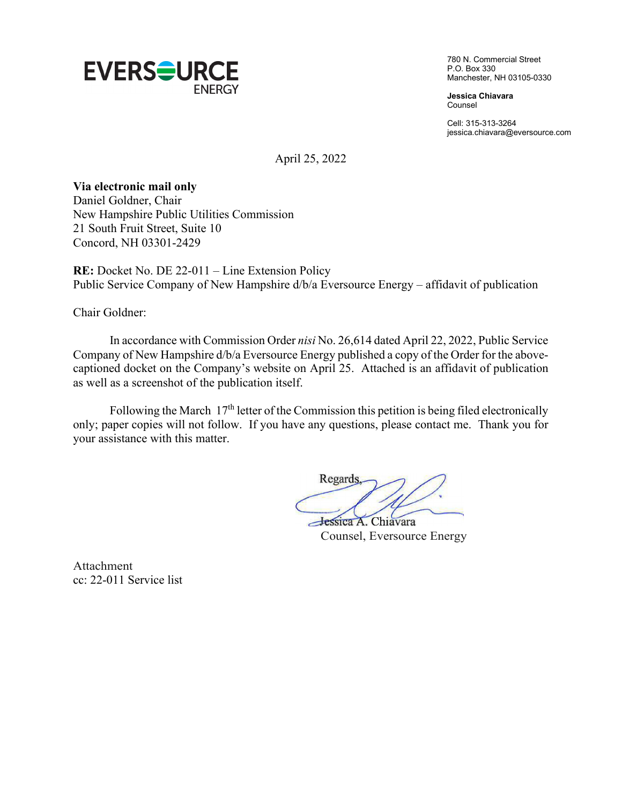

780 N. Commercial Street P.O. Box 330 Manchester, NH 03105-0330

**Jessica Chiavara** Counsel

Cell: 315-313-3264 jessica.chiavara@eversource.com

April 25, 2022

### **Via electronic mail only**

Daniel Goldner, Chair New Hampshire Public Utilities Commission 21 South Fruit Street, Suite 10 Concord, NH 03301-2429

**RE:** Docket No. DE 22-011 – Line Extension Policy Public Service Company of New Hampshire d/b/a Eversource Energy – affidavit of publication

Chair Goldner:

In accordance with Commission Order *nisi* No. 26,614 dated April 22, 2022, Public Service Company of New Hampshire d/b/a Eversource Energy published a copy of the Order for the abovecaptioned docket on the Company's website on April 25. Attached is an affidavit of publication as well as a screenshot of the publication itself.

Following the March  $17<sup>th</sup>$  letter of the Commission this petition is being filed electronically only; paper copies will not follow. If you have any questions, please contact me. Thank you for your assistance with this matter.

Regards Jessica A. Chiavara

Counsel, Eversource Energy

Attachment cc: 22-011 Service list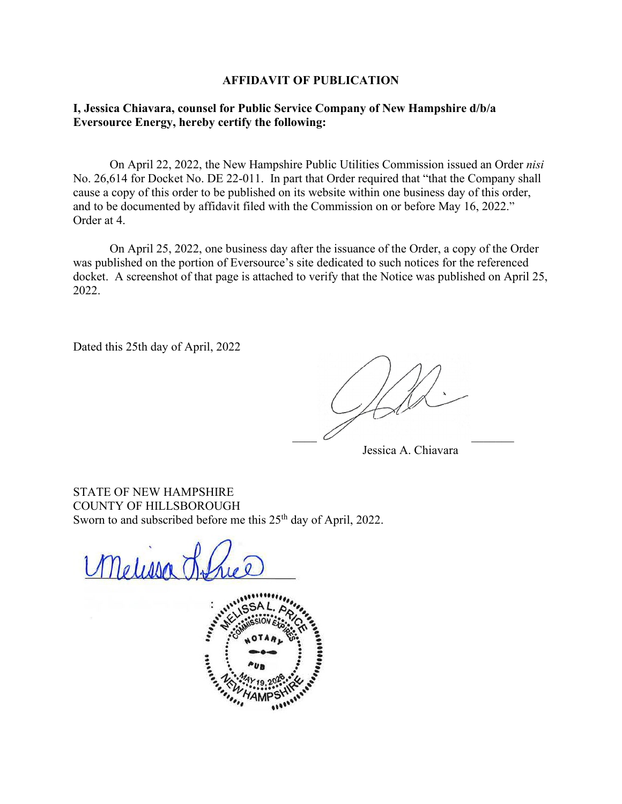#### **AFFIDAVIT OF PUBLICATION**

### **I, Jessica Chiavara, counsel for Public Service Company of New Hampshire d/b/a Eversource Energy, hereby certify the following:**

On April 22, 2022, the New Hampshire Public Utilities Commission issued an Order *nisi*  No. 26,614 for Docket No. DE 22-011. In part that Order required that "that the Company shall cause a copy of this order to be published on its website within one business day of this order, and to be documented by affidavit filed with the Commission on or before May 16, 2022." Order at 4.

On April 25, 2022, one business day after the issuance of the Order, a copy of the Order was published on the portion of Eversource's site dedicated to such notices for the referenced docket. A screenshot of that page is attached to verify that the Notice was published on April 25, 2022.

Dated this 25th day of April, 2022

 $\overline{\phantom{a}}$  ,  $\overline{\phantom{a}}$  ,  $\overline{\phantom{a}}$  ,  $\overline{\phantom{a}}$  ,  $\overline{\phantom{a}}$  ,  $\overline{\phantom{a}}$  ,  $\overline{\phantom{a}}$  ,  $\overline{\phantom{a}}$  ,  $\overline{\phantom{a}}$  ,  $\overline{\phantom{a}}$  ,  $\overline{\phantom{a}}$  ,  $\overline{\phantom{a}}$  ,  $\overline{\phantom{a}}$  ,  $\overline{\phantom{a}}$  ,  $\overline{\phantom{a}}$  ,  $\overline{\phantom{a}}$ 

Jessica A. Chiavara

STATE OF NEW HAMPSHIRE COUNTY OF HILLSBOROUGH Sworn to and subscribed before me this 25<sup>th</sup> day of April, 2022.

Melissa 7

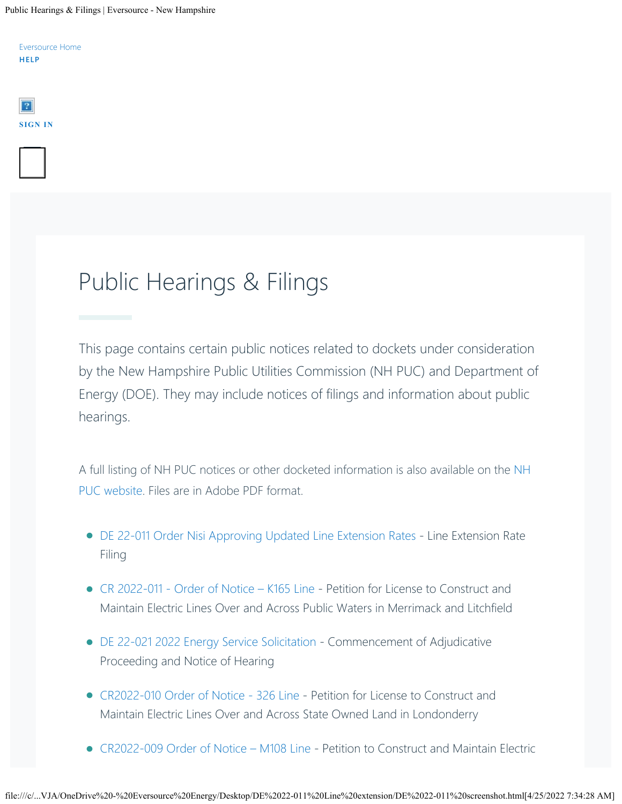Public Hearings & Filings | Eversource - New Hampshire

[Eversource Home](https://www.eversource.com/content) **[HELP](https://www.eversource.com/content/nh/residential/about/contact)**



**MENU**

# Public Hearings & Filings

This page contains certain public notices related to dockets under consideration by the New Hampshire Public Utilities Commission (NH PUC) and Department of Energy (DOE). They may include notices of filings and information about public hearings.

A full listing of NH PUC notices or other docketed information is also available on the [NH](https://www.puc.nh.gov/) [PUC website](https://www.puc.nh.gov/). Files are in Adobe PDF format.

- [DE 22-011 Order Nisi Approving Updated Line Extension Rates](https://www.eversource.com/content/docs/default-source/rates-tariffs/order-26-614--de-22-011.pdf?sfvrsn=34028b62_2)  Line Extension Rate Filing
- [CR 2022-011 Order of Notice K165 Line](https://www.eversource.com/content/docs/default-source/rates-tariffs/cre-2022-011-order-of-notice.pdf?sfvrsn=b028b62_2) Petition for License to Construct and Maintain Electric Lines Over and Across Public Waters in Merrimack and Litchfield
- [DE 22-021 2022 Energy Service Solicitation](https://www.eversource.com/content/docs/default-source/rates-tariffs/22-021_2022-04-12_nhpuc_ntc-of-adjudicative-proceeding.pdf?sfvrsn=4a478b62_2) Commencement of Adjudicative Proceeding and Notice of Hearing
- [CR2022-010 Order of Notice 326 Line](https://www.eversource.com/content/docs/default-source/rates-tariffs/cre-2022-010-order-of-notice.pdf?sfvrsn=1d418b62_0)  Petition for License to Construct and Maintain Electric Lines Over and Across State Owned Land in Londonderry
- [CR2022-009 Order of Notice M108 Line](https://www.eversource.com/content/docs/default-source/rates-tariffs/cre-2022-009-order-of-notice.pdf?sfvrsn=683a8d62_4)  Petition to Construct and Maintain Electric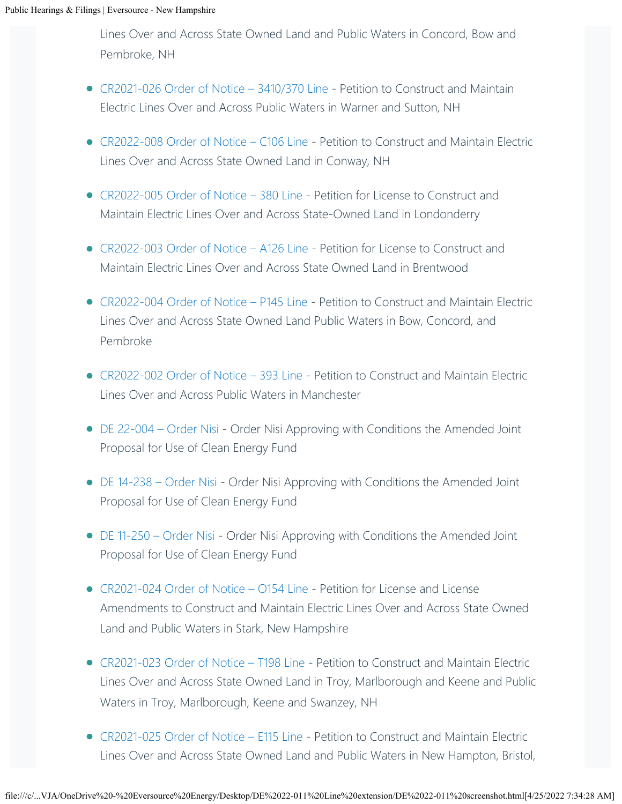Lines Over and Across State Owned Land and Public Waters in Concord, Bow and Pembroke, NH

- CR2021-026 Order of Notice 3410/370 Line Petition to Construct and Maintain Electric Lines Over and Across Public Waters in Warner and Sutton, NH
- [CR2022-008 Order of Notice C106 Line](https://www.eversource.com/content/docs/default-source/rates-tariffs/cre-2022-008-order-of-notice.pdf?sfvrsn=9aeb8e62_4)  Petition to Construct and Maintain Electric Lines Over and Across State Owned Land in Conway, NH
- [CR2022-005 Order of Notice 380 Line](https://www.eversource.com/content/docs/default-source/rates-tariffs/cre-2022-005-order-of-notice.pdf?sfvrsn=d4c48e62_4)  Petition for License to Construct and Maintain Electric Lines Over and Across State-Owned Land in Londonderry
- [CR2022-003 Order of Notice A126 Line](https://www.eversource.com/content/docs/default-source/rates-tariffs/cre-2022-003-order-of-notice.pdf?sfvrsn=14c18e62_4)  Petition for License to Construct and Maintain Electric Lines Over and Across State Owned Land in Brentwood
- [CR2022-004 Order of Notice P145 Line](https://www.eversource.com/content/docs/default-source/rates-tariffs/cre-2022-004-order-of-notice.pdf?sfvrsn=bc228e62_4)  Petition to Construct and Maintain Electric Lines Over and Across State Owned Land Public Waters in Bow, Concord, and Pembroke
- [CR2022-002 Order of Notice 393 Line](https://www.eversource.com/content/docs/default-source/rates-tariffs/cre-2022-002-order-of-notice.pdf?sfvrsn=d0228e62_4)  Petition to Construct and Maintain Electric Lines Over and Across Public Waters in Manchester
- [DE 22-004 Order Nisi](https://www.eversource.com/content/docs/default-source/rates-tariffs/de-22-004-26-577.pdf?sfvrsn=20318062_4)  Order Nisi Approving with Conditions the Amended Joint Proposal for Use of Clean Energy Fund
- [DE 14-238 Order Nisi](https://www.eversource.com/content/docs/default-source/rates-tariffs/de-14-238-26-577.pdf?sfvrsn=46318062_4) Order Nisi Approving with Conditions the Amended Joint Proposal for Use of Clean Energy Fund
- [DE 11-250 Order Nisi](https://www.eversource.com/content/docs/default-source/rates-tariffs/de-11-250-26-577.pdf?sfvrsn=94308062_4)  Order Nisi Approving with Conditions the Amended Joint Proposal for Use of Clean Energy Fund
- [CR2021-024 Order of Notice O154 Line](https://www.eversource.com/content/docs/default-source/rates-tariffs/cr-2021-024-order-of-notice.pdf?sfvrsn=e58c8262_2)  Petition for License and License Amendments to Construct and Maintain Electric Lines Over and Across State Owned Land and Public Waters in Stark, New Hampshire
- [CR2021-023 Order of Notice T198 Line](https://www.eversource.com/content/docs/default-source/rates-tariffs/cr-2021-023-order-of-notice.pdf?sfvrsn=a18e8262_4) Petition to Construct and Maintain Electric Lines Over and Across State Owned Land in Troy, Marlborough and Keene and Public Waters in Troy, Marlborough, Keene and Swanzey, NH
- [CR2021-025 Order of Notice E115 Line](https://www.eversource.com/content/docs/default-source/rates-tariffs/cr-2021-025-order-of-notice.pdf?sfvrsn=56888262_2)  Petition to Construct and Maintain Electric Lines Over and Across State Owned Land and Public Waters in New Hampton, Bristol,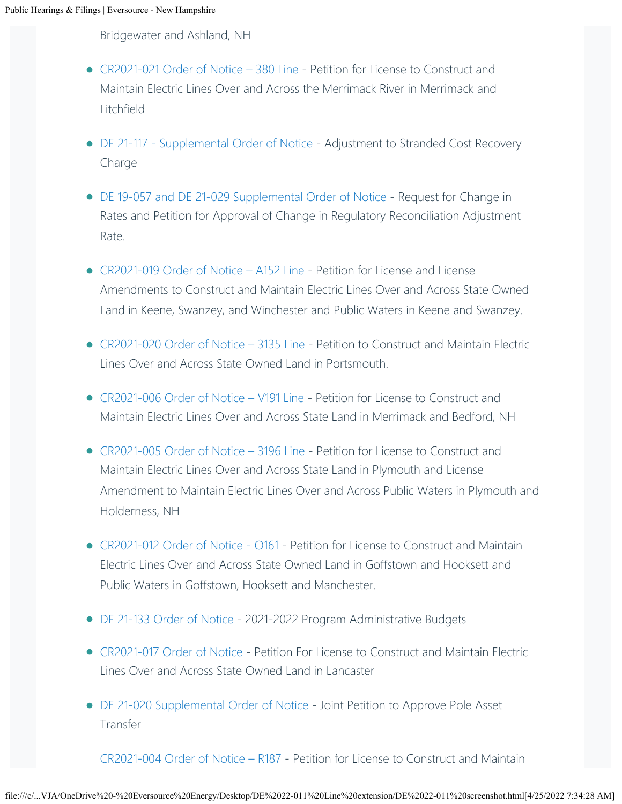Bridgewater and Ashland, NH

- [CR2021-021 Order of Notice 380 Line](https://www.eversource.com/content/docs/default-source/rates-tariffs/1-cr-2021-021-order-of-notice.pdf?sfvrsn=b4c7af62_2) Petition for License to Construct and Maintain Electric Lines Over and Across the Merrimack River in Merrimack and Litchfield
- [DE 21-117 Supplemental Order of Notice](https://www.eversource.com/content/docs/default-source/rates-tariffs/21-117_2021-12-30_nhpuc_suppl-oon.pdf?sfvrsn=cdd3af62_2) Adjustment to Stranded Cost Recovery Charge
- [DE 19-057 and DE 21-029 Supplemental Order of Notice](https://www.eversource.com/content/docs/default-source/rates-tariffs/19-057_21-029_2021-12-23_nhpuc_suppl-oon.pdf?sfvrsn=2323af62_2)  Request for Change in Rates and Petition for Approval of Change in Regulatory Reconciliation Adjustment Rate.
- [CR2021-019 Order of Notice A152 Line](https://www.eversource.com/content/docs/default-source/rates-tariffs/cr-2021-019-a152line-oon.pdf?sfvrsn=8333af62_2)  Petition for License and License Amendments to Construct and Maintain Electric Lines Over and Across State Owned Land in Keene, Swanzey, and Winchester and Public Waters in Keene and Swanzey. •
- [CR2021-020 Order of Notice 3135 Line](https://www.eversource.com/content/docs/default-source/rates-tariffs/cr-2021-20-3135line-oon.pdf?sfvrsn=8233af62_2)  Petition to Construct and Maintain Electric Lines Over and Across State Owned Land in Portsmouth.
- [CR2021-006 Order of Notice V191 Line](https://www.eversource.com/content/docs/default-source/rates-tariffs/cr-2021-005-es-crossing-plymouth-holderness.pdf?sfvrsn=e613af62_2) Petition for License to Construct and Maintain Electric Lines Over and Across State Land in Merrimack and Bedford, NH
- [CR2021-005 Order of Notice 3196 Line](https://www.eversource.com/content/docs/default-source/rates-tariffs/cr-2021-006-es-crossing-merrimack-bedford.pdf?sfvrsn=e713af62_2)  Petition for License to Construct and Maintain Electric Lines Over and Across State Land in Plymouth and License Amendment to Maintain Electric Lines Over and Across Public Waters in Plymouth and Holderness, NH
- [CR2021-012 Order of Notice O161](https://www.eversource.com/content/docs/default-source/rates-tariffs/cr-2021-012-order-of-notice.pdf?sfvrsn=9f4caf62_2)  Petition for License to Construct and Maintain Electric Lines Over and Across State Owned Land in Goffstown and Hooksett and Public Waters in Goffstown, Hooksett and Manchester.
- [DE 21-133 Order of Notice](https://www.eversource.com/content/docs/default-source/rates-tariffs/nh-21-133_2021-11-30.pdf?sfvrsn=df49af62_2) 2021-2022 Program Administrative Budgets
- [CR2021-017 Order of Notice](https://www.eversource.com/content/docs/default-source/rates-tariffs/cr-2021-017-order-of-notice.pdf?sfvrsn=6452af62_2) Petition For License to Construct and Maintain Electric Lines Over and Across State Owned Land in Lancaster
- [DE 21-020 Supplemental Order of Notice](https://www.eversource.com/content/docs/default-source/rates-tariffs/21-020_2021-11-19_eversource-consolidated_suppl-oon.pdf?sfvrsn=6aafa062_2)  Joint Petition to Approve Pole Asset Transfer

[CR2021-004 Order of Notice – R187](https://www.eversource.com/content/docs/default-source/rates-tariffs/cr-2020-004-es-r187.pdf?sfvrsn=188ba062_2) - Petition for License to Construct and Maintain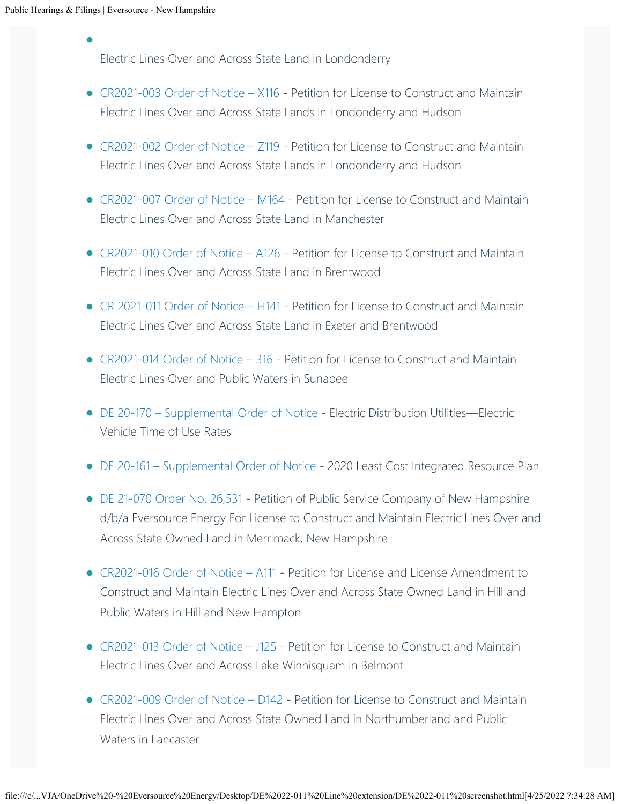Electric Lines Over and Across State Land in Londonderry •

- [CR2021-003 Order of Notice X116](https://www.eversource.com/content/docs/default-source/rates-tariffs/cr-2021-003-es-x116-crossing-oon.pdf?sfvrsn=e488a062_2) Petition for License to Construct and Maintain Electric Lines Over and Across State Lands in Londonderry and Hudson
- [CR2021-002 Order of Notice Z119](https://www.eversource.com/content/docs/default-source/rates-tariffs/order-notice-cr-2021-002.pdf?sfvrsn=1c8ba062_2) Petition for License to Construct and Maintain Electric Lines Over and Across State Lands in Londonderry and Hudson
- [CR2021-007 Order of Notice M164](https://www.eversource.com/content/docs/default-source/rates-tariffs/cr-2021-007-order-of-notice-m164.pdf?sfvrsn=d77aa062_4)  Petition for License to Construct and Maintain Electric Lines Over and Across State Land in Manchester
- [CR2021-010 Order of Notice A126](https://www.eversource.com/content/docs/default-source/rates-tariffs/cr-2021-010-eversource-crossing-order-of-notice.pdf?sfvrsn=8e8ca162_2) Petition for License to Construct and Maintain Electric Lines Over and Across State Land in Brentwood
- [CR 2021-011 Order of Notice H141](https://www.eversource.com/content/docs/default-source/rates-tariffs/cr-2021-011-eversource-crossing-order-of-notice.pdf?sfvrsn=8f8ca162_2) Petition for License to Construct and Maintain Electric Lines Over and Across State Land in Exeter and Brentwood
- [CR2021-014 Order of Notice 316](https://www.eversource.com/content/docs/default-source/rates-tariffs/cr-2021-014-eversource-crossing-order-of-notice.pdf?sfvrsn=888ca162_2)  Petition for License to Construct and Maintain Electric Lines Over and Public Waters in Sunapee
- DE 20-170 Supplemental Order of Notice Electric Distribution Utilities—Electric Vehicle Time of Use Rates
- [DE 20-161 Supplemental Order of Notice](https://www.eversource.com/content/docs/default-source/rates-tariffs/20-161_2021-10-15_suppl.pdf?sfvrsn=6cd9a162_2) 2020 Least Cost Integrated Resource Plan
- [DE 21-070 Order No. 26,531](https://www.eversource.com/content/docs/default-source/rates-tariffs/de-21-070.pdf?sfvrsn=3417a162_4)  Petition of Public Service Company of New Hampshire d/b/a Eversource Energy For License to Construct and Maintain Electric Lines Over and Across State Owned Land in Merrimack, New Hampshire
- [CR2021-016 Order of Notice A111](https://www.eversource.com/content/docs/default-source/rates-tariffs/cr-2021-016-order-of-notice.pdf?sfvrsn=f97aa162_4) Petition for License and License Amendment to Construct and Maintain Electric Lines Over and Across State Owned Land in Hill and Public Waters in Hill and New Hampton
- [CR2021-013 Order of Notice J125](https://www.eversource.com/content/docs/default-source/rates-tariffs/cr-2021-013-order-of-notice.pdf?sfvrsn=1e75a162_4) Petition for License to Construct and Maintain Electric Lines Over and Across Lake Winnisquam in Belmont
- [CR2021-009 Order of Notice D142](https://www.eversource.com/content/docs/default-source/rates-tariffs/d142-cr2021-009-order-of-notice.pdf?sfvrsn=6dc7a262_2)  Petition for License to Construct and Maintain Electric Lines Over and Across State Owned Land in Northumberland and Public Waters in Lancaster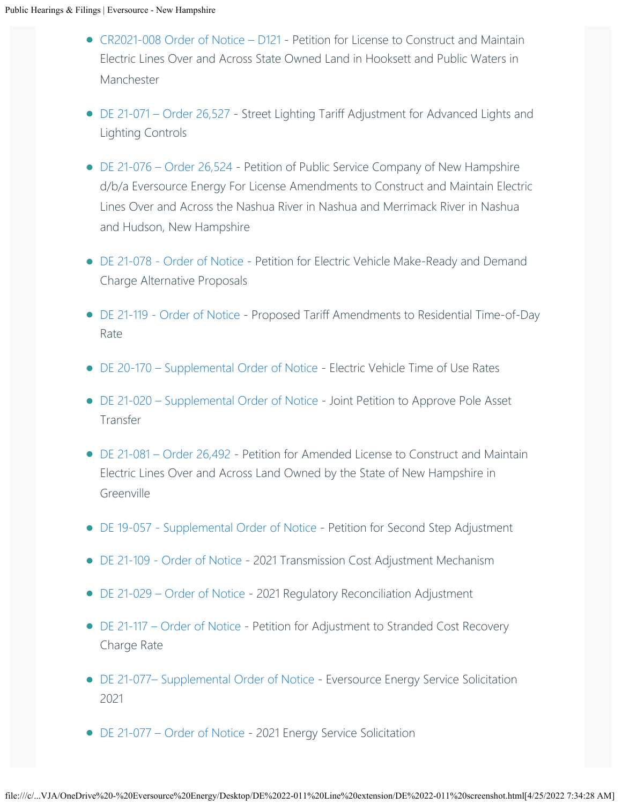- [CR2021-008 Order of Notice D121](https://www.eversource.com/content/docs/default-source/rates-tariffs/d121-cr2021-008-order-of-notice.pdf?sfvrsn=6ec7a262_2)  Petition for License to Construct and Maintain Electric Lines Over and Across State Owned Land in Hooksett and Public Waters in Manchester
- [DE 21-071 Order 26,527](https://www.eversource.com/content/docs/default-source/rates-tariffs/de-21-071-order-26-527.pdf?sfvrsn=e1a6a362_2)  Street Lighting Tariff Adjustment for Advanced Lights and Lighting Controls
- [DE 21-076 Order 26,524](https://www.eversource.com/content/docs/default-source/rates-tariffs/de-21-076-order-26-524.pdf?sfvrsn=e2a6a362_2)  Petition of Public Service Company of New Hampshire d/b/a Eversource Energy For License Amendments to Construct and Maintain Electric Lines Over and Across the Nashua River in Nashua and Merrimack River in Nashua and Hudson, New Hampshire
- [DE 21-078 Order of Notice](https://www.eversource.com/content/docs/default-source/rates-tariffs/de-21-078.pdf?sfvrsn=6542a562_2)  Petition for Electric Vehicle Make-Ready and Demand Charge Alternative Proposals
- [DE 21-119 Order of Notice](https://www.eversource.com/content/docs/default-source/rates-tariffs/de-21-119.pdf?sfvrsn=c257a562_2) Proposed Tariff Amendments to Residential Time-of-Day Rate
- [DE 20-170 Supplemental Order of Notice](https://www.eversource.com/content/docs/default-source/rates-tariffs/de-20-170-supp.pdf?sfvrsn=28c9a662_2)  Electric Vehicle Time of Use Rates
- [DE 21-020 Supplemental Order of Notice](https://www.eversource.com/content/docs/default-source/rates-tariffs/de-21-020-supplemental.pdf?sfvrsn=6641a662_2)  Joint Petition to Approve Pole Asset Transfer
- [DE 21-081 Order 26,492](https://www.eversource.com/content/docs/default-source/rates-tariffs/de-21-081.pdf?sfvrsn=23c4d862_2) Petition for Amended License to Construct and Maintain Electric Lines Over and Across Land Owned by the State of New Hampshire in Greenville
- [DE 19-057 Supplemental Order of Notice](https://www.eversource.com/content/docs/default-source/rates-tariffs/de-19-0579880bf0f1b5267e39dbdff3500e2e88e.pdf?sfvrsn=7cd2d862_4)  Petition for Second Step Adjustment
- [DE 21-109 Order of Notice](https://www.eversource.com/content/docs/default-source/rates-tariffs/de-21-109.pdf?sfvrsn=3758d862_2)  2021 Transmission Cost Adjustment Mechanism
- [DE 21-029 Order of Notice](https://www.eversource.com/content/docs/default-source/rates-tariffs/de-21-029.pdf?sfvrsn=df58d862_2)  2021 Regulatory Reconciliation Adjustment
- [DE 21-117 Order of Notice](https://www.eversource.com/content/docs/default-source/rates-tariffs/de-21-117.pdf?sfvrsn=2fbfd962_4)  Petition for Adjustment to Stranded Cost Recovery Charge Rate
- DE 21-077- Supplemental Order of Notice Eversource Energy Service Solicitation 2021
- [DE 21-077 Order of Notice](https://www.eversource.com/content/docs/default-source/rates-tariffs/de-21-077.pdf?sfvrsn=7ac7da62_2)  2021 Energy Service Solicitation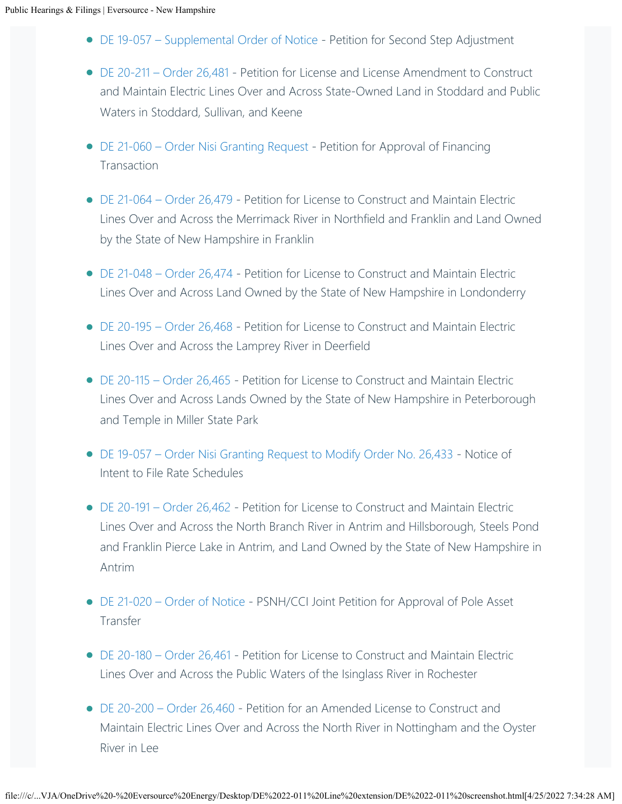- [DE 19-057 Supplemental Order of Notice](https://www.eversource.com/content/docs/default-source/rates-tariffs/de-19-057-supplemental.pdf?sfvrsn=ccc2da62_2)  Petition for Second Step Adjustment
- [DE 20-211 Order 26,481](https://www.eversource.com/content/docs/default-source/rates-tariffs/de-20-211.pdf?sfvrsn=8e67da62_4)  Petition for License and License Amendment to Construct and Maintain Electric Lines Over and Across State-Owned Land in Stoddard and Public Waters in Stoddard, Sullivan, and Keene
- [DE 21-060 Order Nisi Granting Request](https://www.eversource.com/content/docs/default-source/rates-tariffs/26-483.pdf?sfvrsn=7073da62_6)  Petition for Approval of Financing **Transaction**
- [DE 21-064 Order 26,479](https://www.eversource.com/content/docs/default-source/rates-tariffs/de-21-064.pdf?sfvrsn=4840da62_4)  Petition for License to Construct and Maintain Electric Lines Over and Across the Merrimack River in Northfield and Franklin and Land Owned by the State of New Hampshire in Franklin
- [DE 21-048 Order 26,474](https://www.eversource.com/content/docs/default-source/rates-tariffs/de-21-048-order-26-474.pdf?sfvrsn=a48ddb62_2)  Petition for License to Construct and Maintain Electric Lines Over and Across Land Owned by the State of New Hampshire in Londonderry
- [DE 20-195 Order 26,468](https://www.eversource.com/content/docs/default-source/rates-tariffs/de-20-195-order-26-468.pdf?sfvrsn=ccd0dc62_4)  Petition for License to Construct and Maintain Electric Lines Over and Across the Lamprey River in Deerfield
- [DE 20-115 Order 26,465](https://www.eversource.com/content/docs/default-source/rates-tariffs/de-20-115.pdf?sfvrsn=7c12dc62_6) Petition for License to Construct and Maintain Electric Lines Over and Across Lands Owned by the State of New Hampshire in Peterborough and Temple in Miller State Park
- [DE 19-057 Order Nisi Granting Request to Modify Order No. 26,433](https://www.eversource.com/content/docs/default-source/rates-tariffs/de-26-464.pdf?sfvrsn=ef74dc62_4) Notice of Intent to File Rate Schedules
- [DE 20-191 Order 26,462](https://www.eversource.com/content/docs/default-source/rates-tariffs/de-20-191.pdf?sfvrsn=52b8dd62_2) Petition for License to Construct and Maintain Electric Lines Over and Across the North Branch River in Antrim and Hillsborough, Steels Pond and Franklin Pierce Lake in Antrim, and Land Owned by the State of New Hampshire in Antrim
- [DE 21-020 Order of Notice](https://www.eversource.com/content/docs/default-source/rates-tariffs/de-21-020.pdf?sfvrsn=d48fdd62_2)  PSNH/CCI Joint Petition for Approval of Pole Asset Transfer
- [DE 20-180 Order 26,461](https://www.eversource.com/content/docs/default-source/rates-tariffs/de-20-180.pdf?sfvrsn=c797dd62_2) Petition for License to Construct and Maintain Electric Lines Over and Across the Public Waters of the Isinglass River in Rochester
- [DE 20-200 Order 26,460](https://www.eversource.com/content/docs/default-source/rates-tariffs/de-20-200.pdf?sfvrsn=40d5dd62_2) Petition for an Amended License to Construct and Maintain Electric Lines Over and Across the North River in Nottingham and the Oyster River in Lee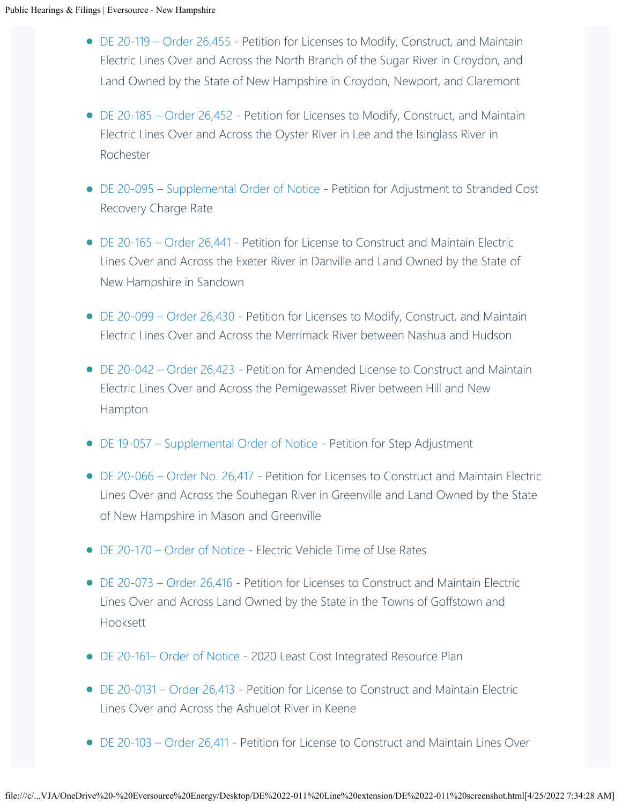- [DE 20-119 Order 26,455](https://www.eversource.com/content/docs/default-source/rates-tariffs/de-20-119.pdf?sfvrsn=5ba0de62_4) Petition for Licenses to Modify, Construct, and Maintain Electric Lines Over and Across the North Branch of the Sugar River in Croydon, and Land Owned by the State of New Hampshire in Croydon, Newport, and Claremont
- [DE 20-185 Order 26,452](https://www.eversource.com/content/docs/default-source/rates-tariffs/de-20-185.pdf?sfvrsn=3db8de62_4)  Petition for Licenses to Modify, Construct, and Maintain Electric Lines Over and Across the Oyster River in Lee and the Isinglass River in Rochester
- DE 20-095 Supplemental Order of Notice Petition for Adjustment to Stranded Cost Recovery Charge Rate
- [DE 20-165 Order 26,441](https://www.eversource.com/content/docs/default-source/rates-tariffs/de-20-165-order-26-441.pdf?sfvrsn=15de62_2) Petition for License to Construct and Maintain Electric Lines Over and Across the Exeter River in Danville and Land Owned by the State of New Hampshire in Sandown
- [DE 20-099 Order 26,430](https://www.eversource.com/content/docs/default-source/rates-tariffs/de-20-099-order-26-430.pdf?sfvrsn=4e8ddf62_4) Petition for Licenses to Modify, Construct, and Maintain Electric Lines Over and Across the Merrimack River between Nashua and Hudson
- [DE 20-042 Order 26,423](https://www.eversource.com/content/docs/default-source/rates-tariffs/de-20-042.pdf?sfvrsn=8d4bdf62_2) Petition for Amended License to Construct and Maintain Electric Lines Over and Across the Pemigewasset River between Hill and New Hampton
- [DE 19-057 Supplemental Order of Notice](https://www.eversource.com/content/docs/default-source/rates-tariffs/de-19-057.pdf?sfvrsn=6945df62_2)  Petition for Step Adjustment
- [DE 20-066 Order No. 26,417](https://www.eversource.com/content/docs/default-source/rates-tariffs/de-20-066.pdf?sfvrsn=1bd7d062_2)  Petition for Licenses to Construct and Maintain Electric Lines Over and Across the Souhegan River in Greenville and Land Owned by the State of New Hampshire in Mason and Greenville
- [DE 20-170 Order of Notice](https://www.eversource.com/content/docs/default-source/rates-tariffs/de-20-170.pdf?sfvrsn=9ad0d062_2)  Electric Vehicle Time of Use Rates
- [DE 20-073 Order 26,416](https://www.eversource.com/content/docs/default-source/rates-tariffs/de-20-073.pdf?sfvrsn=9a29d062_2)  Petition for Licenses to Construct and Maintain Electric Lines Over and Across Land Owned by the State in the Towns of Goffstown and Hooksett
- [DE 20-161– Order of Notice](https://www.eversource.com/content/docs/default-source/rates-tariffs/de-20-161.pdf?sfvrsn=7f29d062_2) 2020 Least Cost Integrated Resource Plan
- [DE 20-0131 Order 26,413](https://www.eversource.com/content/docs/default-source/rates-tariffs/de-20-131.pdf?sfvrsn=7601d062_2)  Petition for License to Construct and Maintain Electric Lines Over and Across the Ashuelot River in Keene
- [DE 20-103 Order 26,411](https://www.eversource.com/content/docs/default-source/rates-tariffs/de-20-103.pdf?sfvrsn=57cd062_2)  Petition for License to Construct and Maintain Lines Over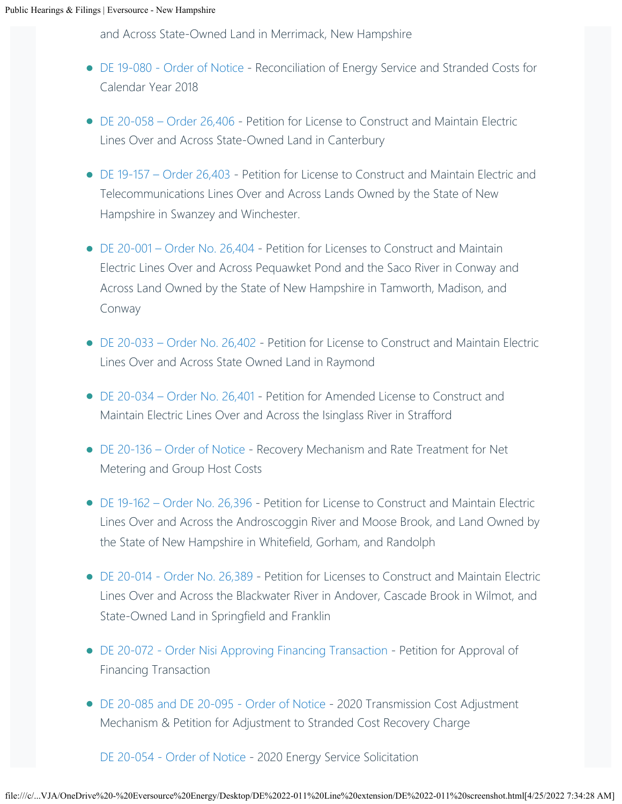and Across State-Owned Land in Merrimack, New Hampshire

- [DE 19-080 Order of Notice](https://www.eversource.com/content/docs/default-source/rates-tariffs/de-19-080.pdf?sfvrsn=6375d062_2) Reconciliation of Energy Service and Stranded Costs for Calendar Year 2018
- [DE 20-058 Order 26,406](https://www.eversource.com/content/docs/default-source/rates-tariffs/de-20-058.pdf?sfvrsn=cb4ed062_2) Petition for License to Construct and Maintain Electric Lines Over and Across State-Owned Land in Canterbury
- [DE 19-157 Order 26,403](https://www.eversource.com/content/docs/default-source/rates-tariffs/public-hearings/de-19-157.pdf?sfvrsn=fdafd162_0) Petition for License to Construct and Maintain Electric and Telecommunications Lines Over and Across Lands Owned by the State of New Hampshire in Swanzey and Winchester.
- [DE 20-001 Order No. 26,404](https://www.eversource.com/content/docs/default-source/rates-tariffs/de-20-001.pdf?sfvrsn=d1b4d162_2)  Petition for Licenses to Construct and Maintain Electric Lines Over and Across Pequawket Pond and the Saco River in Conway and Across Land Owned by the State of New Hampshire in Tamworth, Madison, and Conway
- [DE 20-033 Order No. 26,402](https://www.eversource.com/content/docs/default-source/rates-tariffs/de-20-033.pdf?sfvrsn=f9b4d162_2) Petition for License to Construct and Maintain Electric Lines Over and Across State Owned Land in Raymond
- [DE 20-034 Order No. 26,401](https://www.eversource.com/content/docs/default-source/rates-tariffs/public-hearings/de-20-034.pdf?sfvrsn=db9bd162_2)  Petition for Amended License to Construct and Maintain Electric Lines Over and Across the Isinglass River in Strafford
- [DE 20-136 Order of Notice](https://www.eversource.com/content/docs/default-source/rates-tariffs/public-hearings/de-20-136.pdf?sfvrsn=7bebd162_2)  Recovery Mechanism and Rate Treatment for Net Metering and Group Host Costs
- [DE 19-162 Order No. 26,396](https://www.eversource.com/content/docs/default-source/rates-tariffs/public-hearings/de-19-162.pdf?sfvrsn=16ffd162_2) Petition for License to Construct and Maintain Electric Lines Over and Across the Androscoggin River and Moose Brook, and Land Owned by the State of New Hampshire in Whitefield, Gorham, and Randolph
- [DE 20-014 Order No. 26,389](https://www.eversource.com/content/docs/default-source/rates-tariffs/de-20-014-order-26-389.pdf?sfvrsn=9562d162_2) Petition for Licenses to Construct and Maintain Electric Lines Over and Across the Blackwater River in Andover, Cascade Brook in Wilmot, and State-Owned Land in Springfield and Franklin
- [DE 20-072 Order Nisi Approving Financing Transaction](https://www.eversource.com/content/docs/default-source/rates-tariffs/26-390.pdf?sfvrsn=ae62d162_2)  Petition for Approval of Financing Transaction
- [DE 20-085 and DE 20-095 Order of Notice](https://www.eversource.com/content/docs/default-source/rates-tariffs/de-20-085-de-20-095.pdf?sfvrsn=fbf5d262_2) 2020 Transmission Cost Adjustment Mechanism & Petition for Adjustment to Stranded Cost Recovery Charge

[DE 20-054 - Order of Notice](https://www.eversource.com/content/docs/default-source/rates-tariffs/de-20-054.pdf?sfvrsn=2b9dd362_2) - 2020 Energy Service Solicitation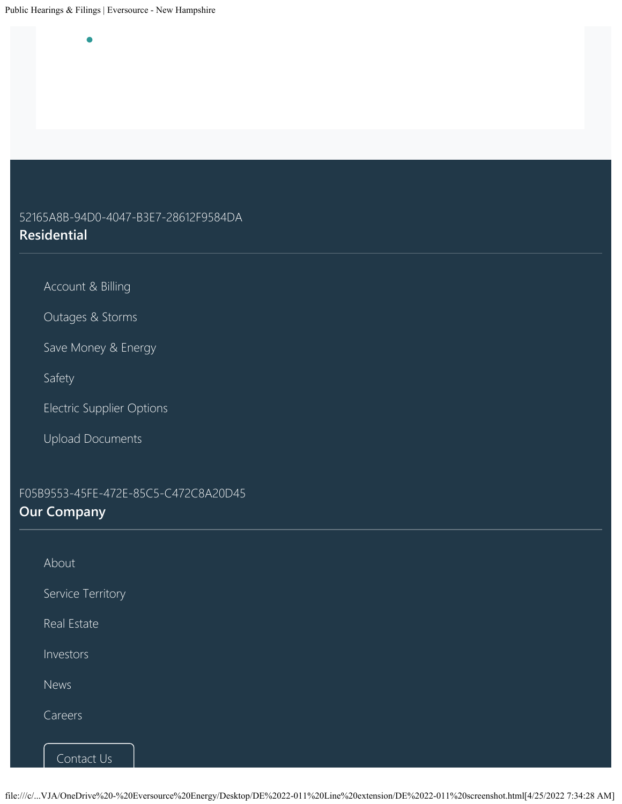•

## 52165A8B-94D0-4047-B3E7-28612F9584DA **Residential**

[Account & Billing](https://www.eversource.com/content/nh/residential/account-billing)

[Outages & Storms](https://www.eversource.com/content/nh/residential/outages)

[Save Money & Energy](https://www.eversource.com/content/nh/residential/save-money-energy)

[Safety](https://www.eversource.com/content/nh/residential/safety)

[Electric Supplier Options](https://www.eversource.com/content/nh/residential/account-billing/manage-bill/about-your-bill/supplier-options)

[Upload Documents](https://www.eversource.com/cg/customer/upload)

F05B9553-45FE-472E-85C5-C472C8A20D45 **Our Company**

| About             |  |  |
|-------------------|--|--|
| Service Territory |  |  |
| Real Estate       |  |  |
| Investors         |  |  |
| News              |  |  |
| Careers           |  |  |
| Contact Us        |  |  |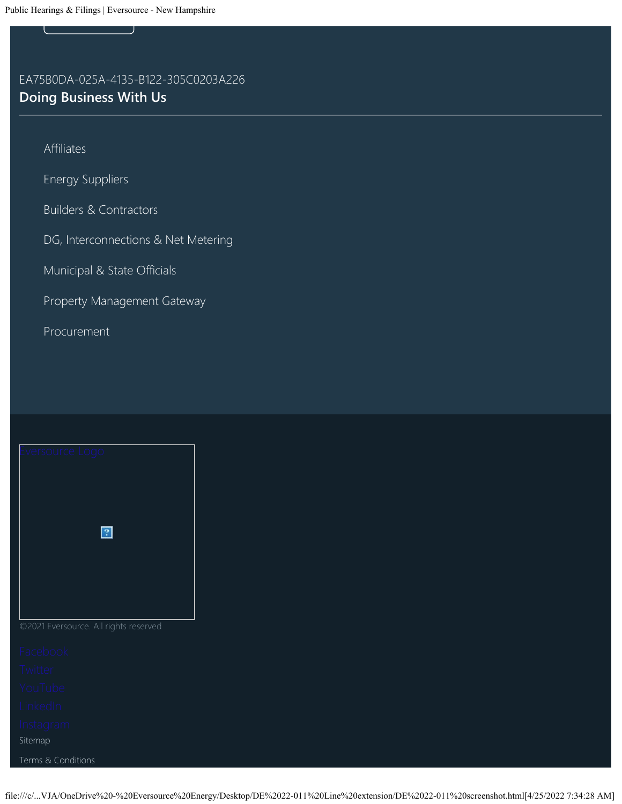## EA75B0DA-025A-4135-B122-305C0203A226 **Doing Business With Us**

[Affiliates](https://www.eversource.com/content/nh/residential/about/doing-business-with-us/affiliates)

[Energy Suppliers](https://www.eversource.com/content/nh/residential/about/doing-business-with-us/energy-supplier-information)

[Builders & Contractors](https://www.eversource.com/content/nh/residential/about/doing-business-with-us/builders-contractors)

[DG, Interconnections & Net Metering](https://www.eversource.com/content/nh/residential/about/doing-business-with-us/builders-contractors/interconnections)

[Municipal & State Officials](https://www.eversource.com/content/nh/residential/about/doing-business-with-us/municipal-officials)

[Property Management Gateway](https://www.eversource.com/content/nh/residential/about/doing-business-with-us/property-management-gateway)

[Procurement](https://www.eversource.com/content/nh/residential/about/doing-business-with-us/procurement)

| versource Logo |             |  |
|----------------|-------------|--|
|                |             |  |
|                |             |  |
|                | $\boxed{?}$ |  |
|                |             |  |
|                |             |  |
|                |             |  |

### ©2021 Eversource. All rights reserved

[Sitemap](https://www.eversource.com/content/general/residential/about/site-map) [Terms & Conditions](https://www.eversource.com/content/nh/residential/about/terms-and-conditions)